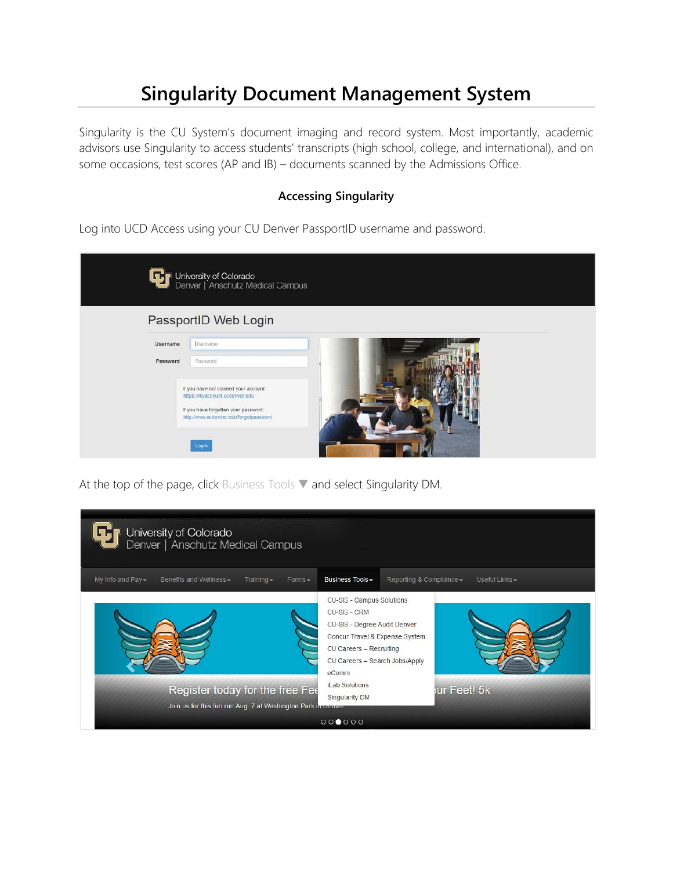## **Singularity Document Management System**

Singularity is the CU System's document imaging and record system. Most importantly, academic advisors use Singularity to access students' transcripts (high school, college, and international), and on some occasions, test scores (AP and IB) – documents scanned by the Admissions Office.

## **Accessing Singularity**

Log into UCD Access using your CU Denver PassportID username and password.

|          | University of Colorado<br>Denver   Anschutz Medical Campus                     |
|----------|--------------------------------------------------------------------------------|
|          | PassportID Web Login                                                           |
| Username | Lisername                                                                      |
| Password | Password                                                                       |
|          | If you have not claimed your account:<br>https://myaccount.ucdenver.edu        |
|          | If you have forgotten your password:<br>http://www.ucdenver.edu/forgotpassword |
|          |                                                                                |
|          | Login                                                                          |

At the top of the page, click Business Tools ▼ and select Singularity DM.

| University of Colorado<br>Denver   Anschutz Medical Campus                                       |                                                                                                                                                                                                                                      |  |  |  |  |
|--------------------------------------------------------------------------------------------------|--------------------------------------------------------------------------------------------------------------------------------------------------------------------------------------------------------------------------------------|--|--|--|--|
| My Info and Pay -<br>Benefits and Wellness -<br>$Training -$<br>$Forms -$                        | Business Tools -<br>Reporting & Compliance -<br>Useful Links -                                                                                                                                                                       |  |  |  |  |
| Register today for the free Fee<br>Join us for this fun run Aug. 7 at Washington Park in Denver. | CU-SIS - Campus Solutions<br>CU-SIS - CRM<br>CU-SIS - Degree Audit Denver<br>Concur Travel & Expense System<br>CU Careers - Recruiting<br>CU Careers - Search Jobs/Apply<br>eComm<br>iLab Solutions<br>ur Feet! 5k<br>Singularity DM |  |  |  |  |
| 000000                                                                                           |                                                                                                                                                                                                                                      |  |  |  |  |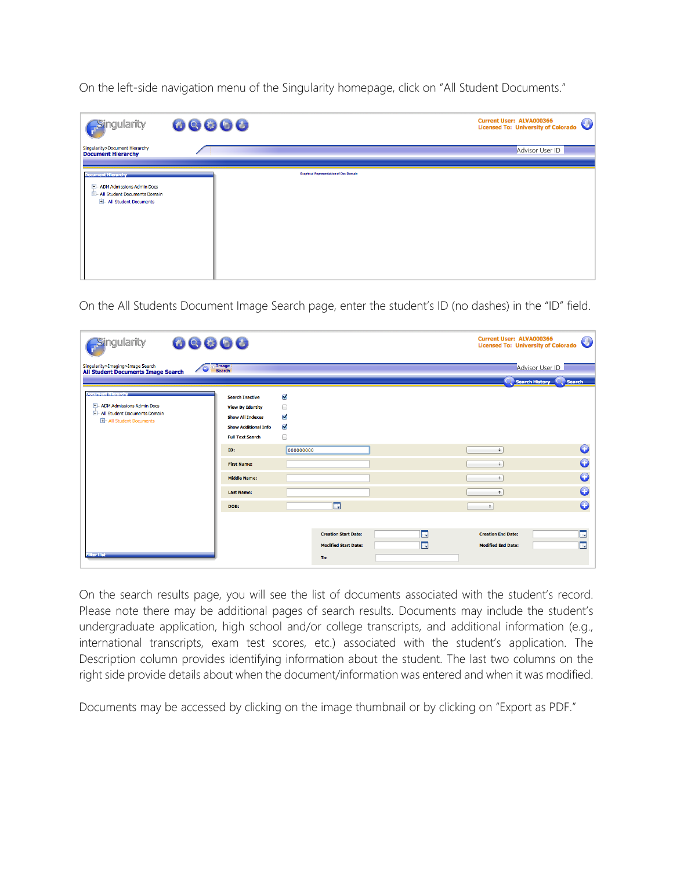On the left-side navigation menu of the Singularity homepage, click on "All Student Documents."

| <b>Singularity</b>                                                                                                            | 00000                                         | <b>Current User: ALVA000366</b><br>Licensed To: University of Colorado |
|-------------------------------------------------------------------------------------------------------------------------------|-----------------------------------------------|------------------------------------------------------------------------|
| Singularity>Document Hierarchy<br><b>Document Hierarchy</b>                                                                   |                                               | Advisor User ID                                                        |
| <b>Document Hierarchy</b><br>-- ADM Admissions Admin Docs<br><b>El- All Student Documents Domain</b><br>All Student Documents | <b>Graphical Representation of Doc Domain</b> |                                                                        |

On the All Students Document Image Search page, enter the student's ID (no dashes) in the "ID" field.

| 00000<br>Singularity                                                                                               |                                                                                                                                        |                                                     | <b>Current User: ALVA000366</b><br>$\bigcirc$<br><b>Licensed To: University of Colorado</b> |
|--------------------------------------------------------------------------------------------------------------------|----------------------------------------------------------------------------------------------------------------------------------------|-----------------------------------------------------|---------------------------------------------------------------------------------------------|
| Singularity>Imaging>Image Search<br><b>All Student Documents Image Search</b>                                      | Image<br>Search                                                                                                                        |                                                     | Advisor User ID<br>Search History C. Search                                                 |
| <b>Document Hierarch</b><br>- ADM Admissions Admin Docs<br>- All Student Documents Domain<br>All Student Documents | <b>Search Inactive</b><br><b>View By Identity</b><br><b>Show All Indexes</b><br><b>Show Additional Info</b><br><b>Full Text Search</b> | M<br>▣<br>☑<br>$\overline{\mathbf{v}}$<br>$\Box$    |                                                                                             |
|                                                                                                                    | ID:<br><b>First Name:</b>                                                                                                              | 000000000                                           | G<br>$\div$<br>G<br>$\div$                                                                  |
|                                                                                                                    | <b>Middle Name:</b><br><b>Last Name:</b>                                                                                               |                                                     | G<br>÷<br>O<br>÷                                                                            |
|                                                                                                                    | DOB:                                                                                                                                   | $\blacksquare$<br>E.<br><b>Creation Start Date:</b> | G<br>$\div$<br><b>II</b><br><b>Creation End Date:</b>                                       |
| Filter List                                                                                                        |                                                                                                                                        | H.<br><b>Modified Start Date:</b><br>To:            | m,<br><b>Modified End Date:</b>                                                             |

On the search results page, you will see the list of documents associated with the student's record. Please note there may be additional pages of search results. Documents may include the student's undergraduate application, high school and/or college transcripts, and additional information (e.g., international transcripts, exam test scores, etc.) associated with the student's application. The Description column provides identifying information about the student. The last two columns on the right side provide details about when the document/information was entered and when it was modified.

Documents may be accessed by clicking on the image thumbnail or by clicking on "Export as PDF."